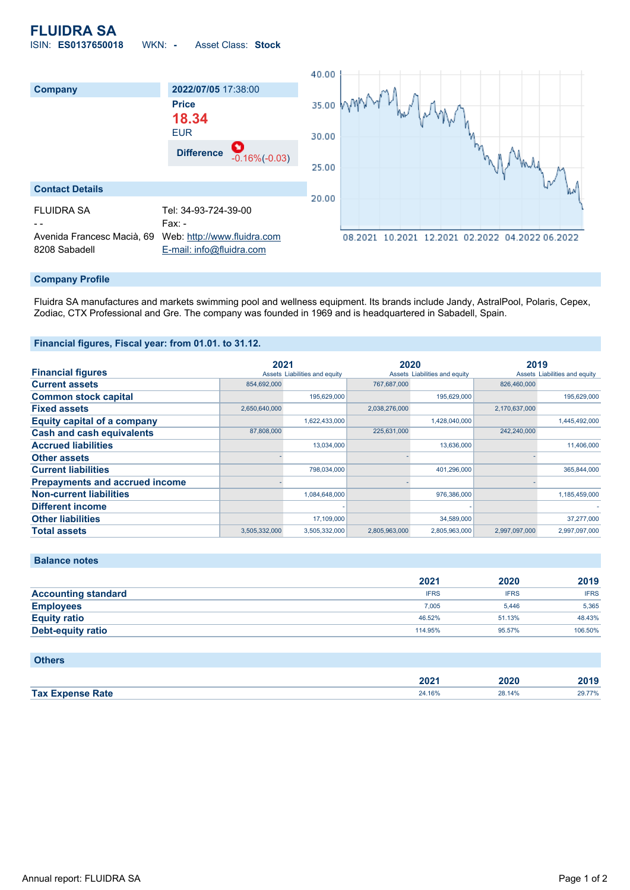# **FLUIDRA SA** ISIN: **ES0137650018** WKN: **-** Asset Class: **Stock**



### **Company Profile**

Fluidra SA manufactures and markets swimming pool and wellness equipment. Its brands include Jandy, AstralPool, Polaris, Cepex, Zodiac, CTX Professional and Gre. The company was founded in 1969 and is headquartered in Sabadell, Spain.

### **Financial figures, Fiscal year: from 01.01. to 31.12.**

|                                       | 2021                          |               | 2020                          |               | 2019                          |               |
|---------------------------------------|-------------------------------|---------------|-------------------------------|---------------|-------------------------------|---------------|
| <b>Financial figures</b>              | Assets Liabilities and equity |               | Assets Liabilities and equity |               | Assets Liabilities and equity |               |
| <b>Current assets</b>                 | 854,692,000                   |               | 767,687,000                   |               | 826,460,000                   |               |
| <b>Common stock capital</b>           |                               | 195.629.000   |                               | 195,629,000   |                               | 195,629,000   |
| <b>Fixed assets</b>                   | 2,650,640,000                 |               | 2,038,276,000                 |               | 2,170,637,000                 |               |
| <b>Equity capital of a company</b>    |                               | 1,622,433,000 |                               | 1,428,040,000 |                               | 1,445,492,000 |
| <b>Cash and cash equivalents</b>      | 87,808,000                    |               | 225,631,000                   |               | 242,240,000                   |               |
| <b>Accrued liabilities</b>            |                               | 13.034.000    |                               | 13,636,000    |                               | 11,406,000    |
| <b>Other assets</b>                   |                               |               |                               |               |                               |               |
| <b>Current liabilities</b>            |                               | 798,034,000   |                               | 401,296,000   |                               | 365,844,000   |
| <b>Prepayments and accrued income</b> |                               |               |                               |               |                               |               |
| <b>Non-current liabilities</b>        |                               | 1,084,648,000 |                               | 976,386,000   |                               | 1,185,459,000 |
| <b>Different income</b>               |                               |               |                               |               |                               |               |
| <b>Other liabilities</b>              |                               | 17,109,000    |                               | 34,589,000    |                               | 37,277,000    |
| <b>Total assets</b>                   | 3,505,332,000                 | 3,505,332,000 | 2,805,963,000                 | 2,805,963,000 | 2.997.097.000                 | 2,997,097,000 |

#### **Balance notes**

|                            | 2021        | 2020        | 2019        |
|----------------------------|-------------|-------------|-------------|
| <b>Accounting standard</b> | <b>IFRS</b> | <b>IFRS</b> | <b>IFRS</b> |
| <b>Employees</b>           | 7.005       | 5.446       | 5,365       |
| <b>Equity ratio</b>        | 46.52%      | 51.13%      | 48.43%      |
| <b>Debt-equity ratio</b>   | 114.95%     | 95.57%      | 106.50%     |

| <b>Others</b>           |        |        |        |
|-------------------------|--------|--------|--------|
|                         | 2021   | 2020   | 2019   |
| <b>Tax Expense Rate</b> | 24.16% | 28.14% | 29.77% |